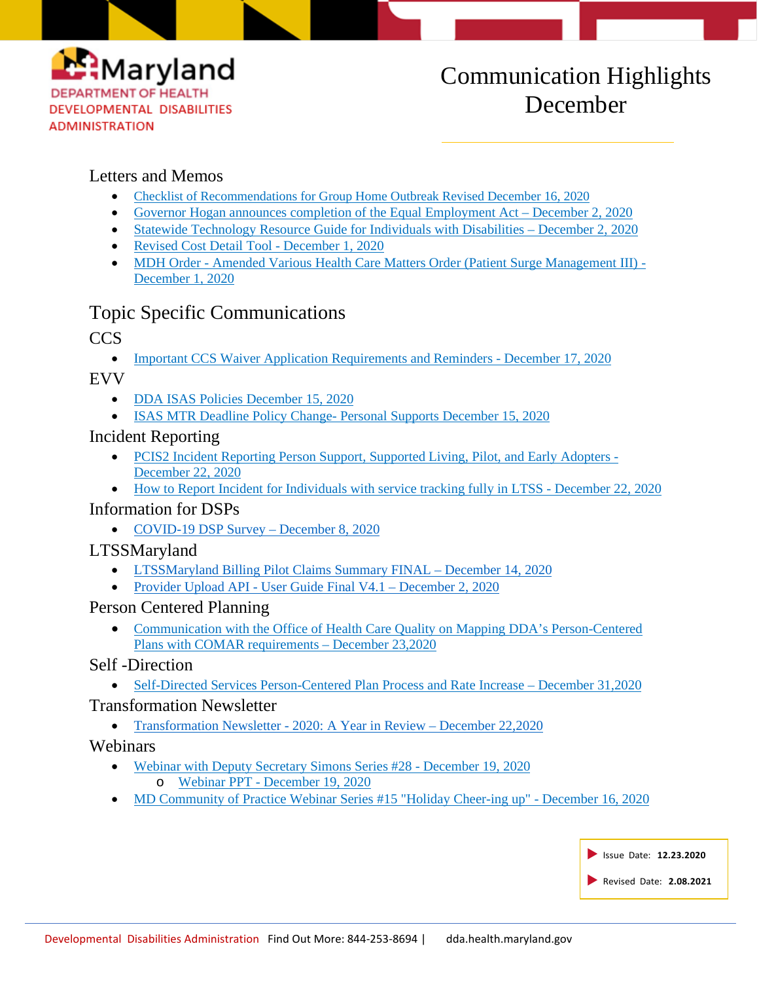

# Communication Highlights December

### Letters and Memos

- [Checklist of Recommendations for Group Home Outbreak Revised December 16, 2020](https://dda.health.maryland.gov/Documents/COVID%2019%20Documents/Memos%20Guidance/12.17.20/Checklist%20of%20Recommendations%20for%20Group%20Home%20Outbreak%20Revised%202020-12-16.pdf)
- [Governor Hogan announces completion of the Equal Employment Act](https://conta.cc/3oiPSC8) December 2, 2[0](https://conta.cc/3oiPSC8)20
- [Statewide Technology Resource Guide for Individuals with Disabilities](https://dda.health.maryland.gov/Documents/COVID%2019%20Documents/Information%20for%20People%20and%20Families/12.03.20/Statewide%20Technology%20Resource%20Guide%20for%20Individuals%20with%20Disabilities.pdf) December 2, 2[0](https://dda.health.maryland.gov/Documents/COVID%2019%20Documents/Information%20for%20People%20and%20Families/12.03.20/Statewide%20Technology%20Resource%20Guide%20for%20Individuals%20with%20Disabilities.pdf)20
- [Revised Cost Detail Tool -](https://dda.health.maryland.gov/Documents/Fiscal/12.01.20/Cost%20Detail%20Tool%2012-1-2020.zip) December 1, 202[0](https://dda.health.maryland.gov/Documents/Fiscal/12.01.20/Cost%20Detail%20Tool%2012-1-2020.zip)
- MDH Order [Amended Various Health Care Matters Order \(Patient Surge Management III\) -](https://dda.health.maryland.gov/Documents/COVID%2019%20Documents/Memos%20Guidance/12.03.20/2020.12.01.01%20-%20MDH%20Order%20-%20Amended%20Various%20Health%20Care%20Matters%20Order%20(Patient%20Surge%20Management%20III).pdf) [December 1, 2020](https://dda.health.maryland.gov/Documents/COVID%2019%20Documents/Memos%20Guidance/12.03.20/2020.12.01.01%20-%20MDH%20Order%20-%20Amended%20Various%20Health%20Care%20Matters%20Order%20(Patient%20Surge%20Management%20III).pdf)

# Topic Specific Communications

# CCS

• [Important CCS Waiver Application Requirements and Reminders](https://dda.health.maryland.gov/Documents/COVID%2019%20Documents/Memos%20Guidance/12.21.20/Final%20EMAIL%20TO%20CCSs%2012.16.2020%20.docx%20(1).pdf) - December 17, 2[0](https://dda.health.maryland.gov/Documents/COVID%2019%20Documents/Memos%20Guidance/12.21.20/Final%20EMAIL%20TO%20CCSs%2012.16.2020%20.docx%20(1).pdf)20

EVV

- [DDA ISAS Policies December 15, 2020](https://dda.health.maryland.gov/Documents/EVV/12.15.20/DDA%20ISAS%20Policies%20(2020.12.15).pdf)
- [ISAS MTR Deadline Policy Change-](https://dda.health.maryland.gov/Documents/EVV/12.15.20/ISAS%20MTR%20Deadline%20Policy%20Change-%20Personal%20Supports%20(2020.12.15).pdf.pdf) [Personal Supports December 15, 2020](https://dda.health.maryland.gov/Documents/EVV/12.15.20/ISAS%20MTR%20Deadline%20Policy%20Change-%20Personal%20Supports%20(2020.12.15).pdf.pdf)

# Incident Reporting

- [PCIS2 Incident Reporting Person Support, Supported Living, Pilot, and Early Adopters -](https://dda.health.maryland.gov/Documents/LTSS%20Page/12.22.20/PCIS2%20IR%20reporting%20PS_SL,%20early%20adopters,%20pilot%20.pdf) [December 22, 2020](https://dda.health.maryland.gov/Documents/LTSS%20Page/12.22.20/PCIS2%20IR%20reporting%20PS_SL,%20early%20adopters,%20pilot%20.pdf)
- [How to Report Incident for Individuals with service tracking fully in LTSS -](https://dda.health.maryland.gov/Documents/LTSS%20Page/12.22.20/How%20to%20Report%20Incident%20for%20Individual%E2%80%99s%20who%20have%20moved%20from%20PCIS2%20to%20LTSS%20(1).pdf) December 22, 2020

#### Information for DSPs

• [COVID-19 DSP Survey](https://conta.cc/2JOJdB1) – [December 8, 2020](https://conta.cc/2JOJdB1)

# LTSSMaryland

- [LTSSMaryland Billing Pilot Claims Summary FINAL –](https://dda.health.maryland.gov/Documents/Fiscal/12.15.20/LTSSMaryland%20Billing%20Pilot%20Claims%20Summary%20FINAL%20(1).zip) December 14, 2[0](https://dda.health.maryland.gov/Documents/Fiscal/12.15.20/LTSSMaryland%20Billing%20Pilot%20Claims%20Summary%20FINAL%20(1).zip)20
- Provider Upload API [User Guide Final V4.1](https://dda.health.maryland.gov/Documents/Provider%20Upload%20API%20-%20User%20Guide%20Final%20V4.1%20(003)%20(2020.12.01).pdf) December 2, 2020

#### Person Centered Planning

• [Communication with the Office of Health Care Quality on Mapping DDA's Person-Centered](https://conta.cc/34GRUV4)  [Plans with COMAR requirements –](https://conta.cc/34GRUV4) December 23,2020

#### Self -Direction

• [Self-Directed Services Person-Centered Plan Process and Rate Increase –](https://files.constantcontact.com/f401fd14401/307310ce-a15d-44a6-8f70-70567e7306c2.pdf) December 31,2020

#### Transformation Newsletter

• [Transformation Newsletter -](https://conta.cc/3aCSOWH) 2020: A Year in Review – December 22,2020

# Webinars

- [Webinar with Deputy Secretary Simons Series #28 -](https://www.youtube.com/watch?app=desktop&v=C96arD5OVN4&feature=youtu.be) [December 19, 2020](https://www.youtube.com/watch?app=desktop&v=C96arD5OVN4&feature=youtu.be)
	- o Webinar PPT [December 19, 2020](https://dda.health.maryland.gov/Documents/COVID%2019%20Documents/Dep%20Sec%20Webinars/Webinar%20DDA%20Deputy%20Secretary%20FINAL%20BS%2012.18.20%20.pdf)
- [MD Community of Practice Webinar Series #15 "Holiday Cheer-ing up" -](https://www.youtube.com/watch?v=Dbuak7pl7dw&feature=youtu.be) December 16, 2020

|  | Issue Date: 12.23.2020  |  |
|--|-------------------------|--|
|  | Revised Date: 2.08.2021 |  |